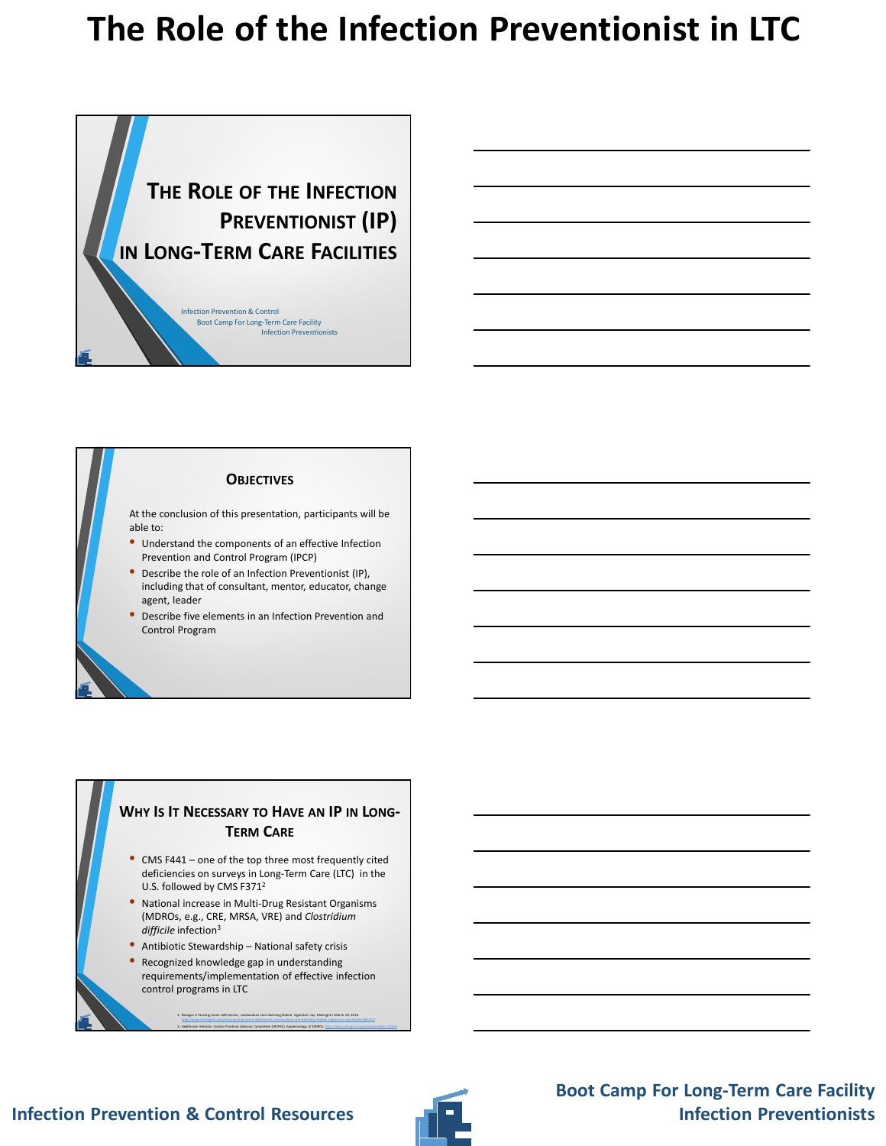

#### **OBJECTIVES**

At the conclusion of this presentation, participants will be able to:

- Understand the components of an effective Infection Prevention and Control Program (IPCP)
- Describe the role of an Infection Preventionist (IP), including that of consultant, mentor, educator, change agent, leader
- Describe five elements in an Infection Prevention and Control Program

#### **WHY IS IT NECESSARY TO HAVE AN IP IN LONG-TERM CARE**

- CMS F441 one of the top three most frequently cited deficiencies on surveys in Long-Term Care (LTC) in the U.S. followed by CMS F371<sup>2</sup>
- National increase in Multi-Drug Resistant Organisms (MDROs, e.g., CRE, MRSA, VRE) and *Clostridium difficile* infection<sup>3</sup>
- Antibiotic Stewardship National safety crisis
- Recognized knowledge gap in understanding requirements/implementation of effective infection control programs in LTC

2. Mongan E. Nursing home deficiencies, substandard care declining,federal regulators say. McKnight's March 29, 2016. http://www.mcknights.com/new/nursing-home-deficiencies-substandard-care-declining-federal-regulators-say/article/486155/ 3. Healthcare Infection Control Practices Advisory Committee (HICPAC). Epidemiology of MDROs. http://www.cdc.eov/hicpac/mdro/mdro\_3.html

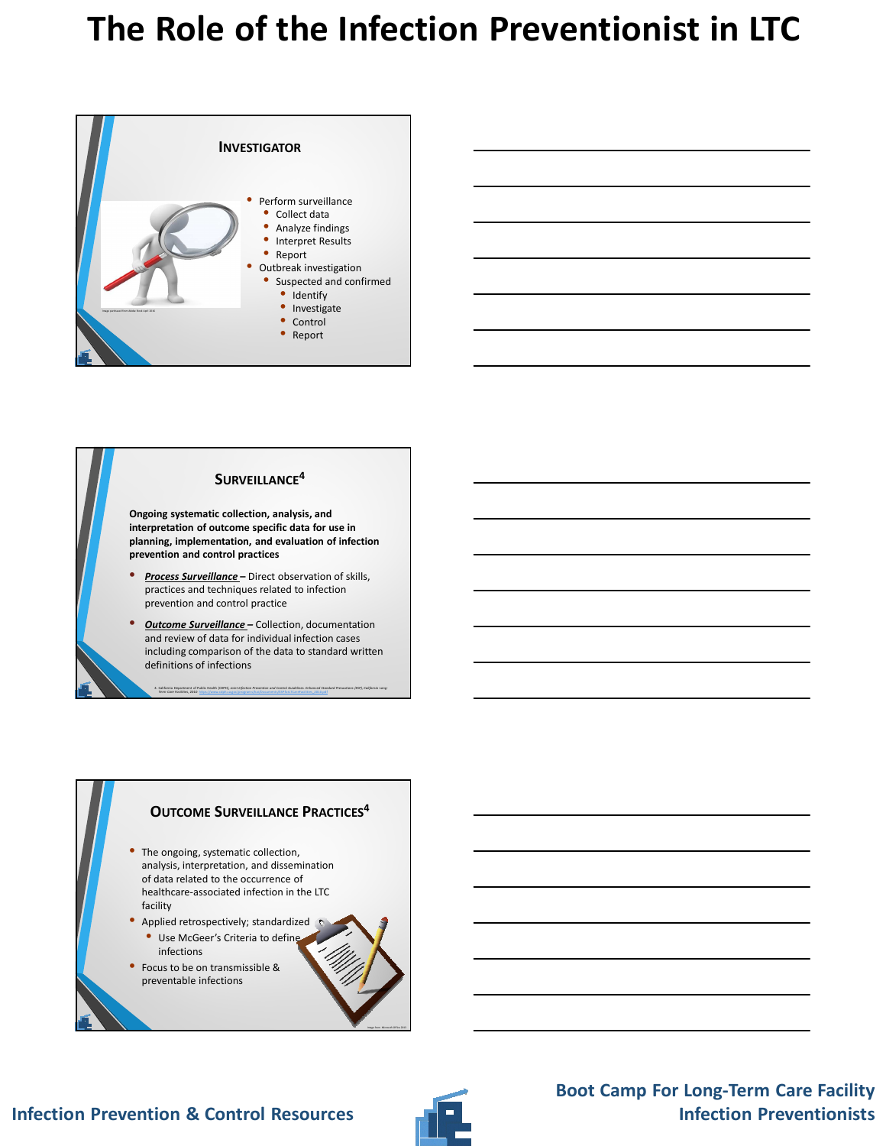



### **OUTCOME SURVEILLANCE PRACTICES<sup>4</sup>**

- The ongoing, systematic collection, analysis, interpretation, and dissemination of data related to the occurrence of healthcare-associated infection in the LTC facility
- Applied retrospectively; standardized • Use McGeer's Criteria to define
- infections • Focus to be on transmissible & preventable infections



Image from Microsoft Office 2013

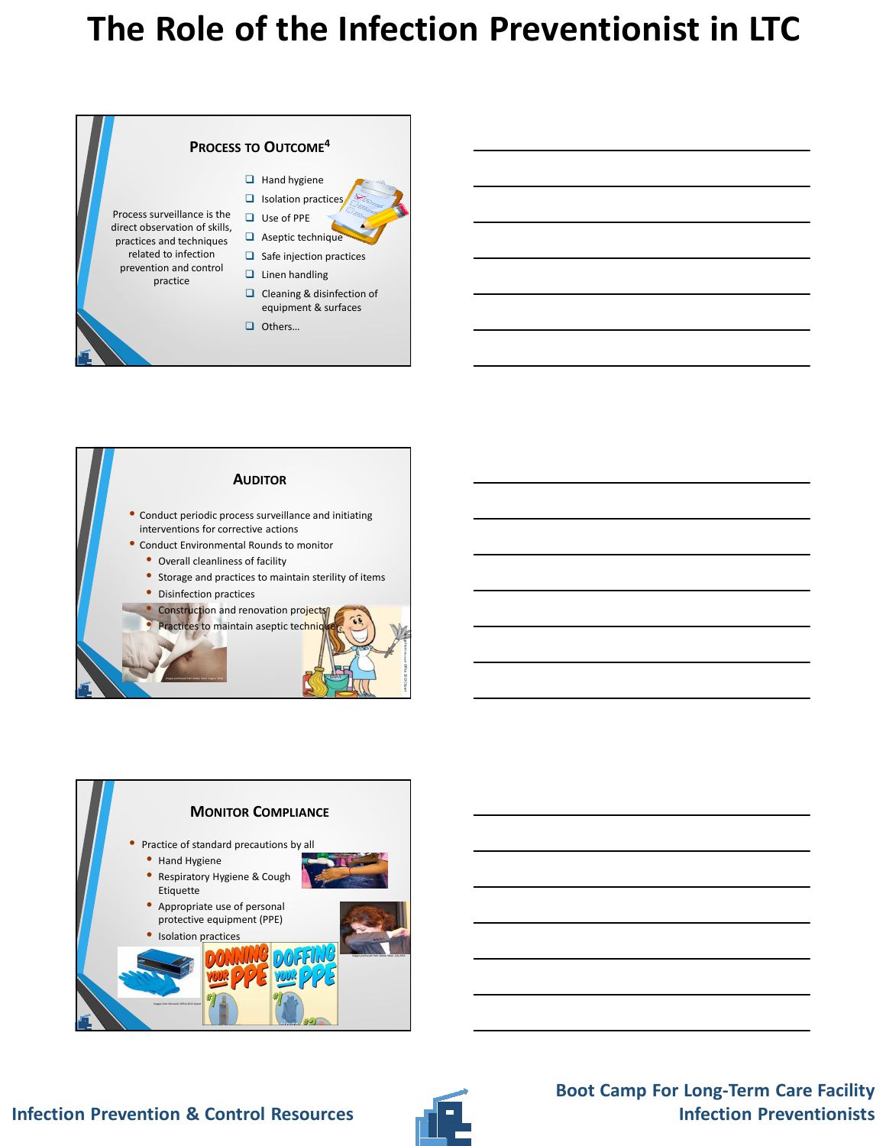





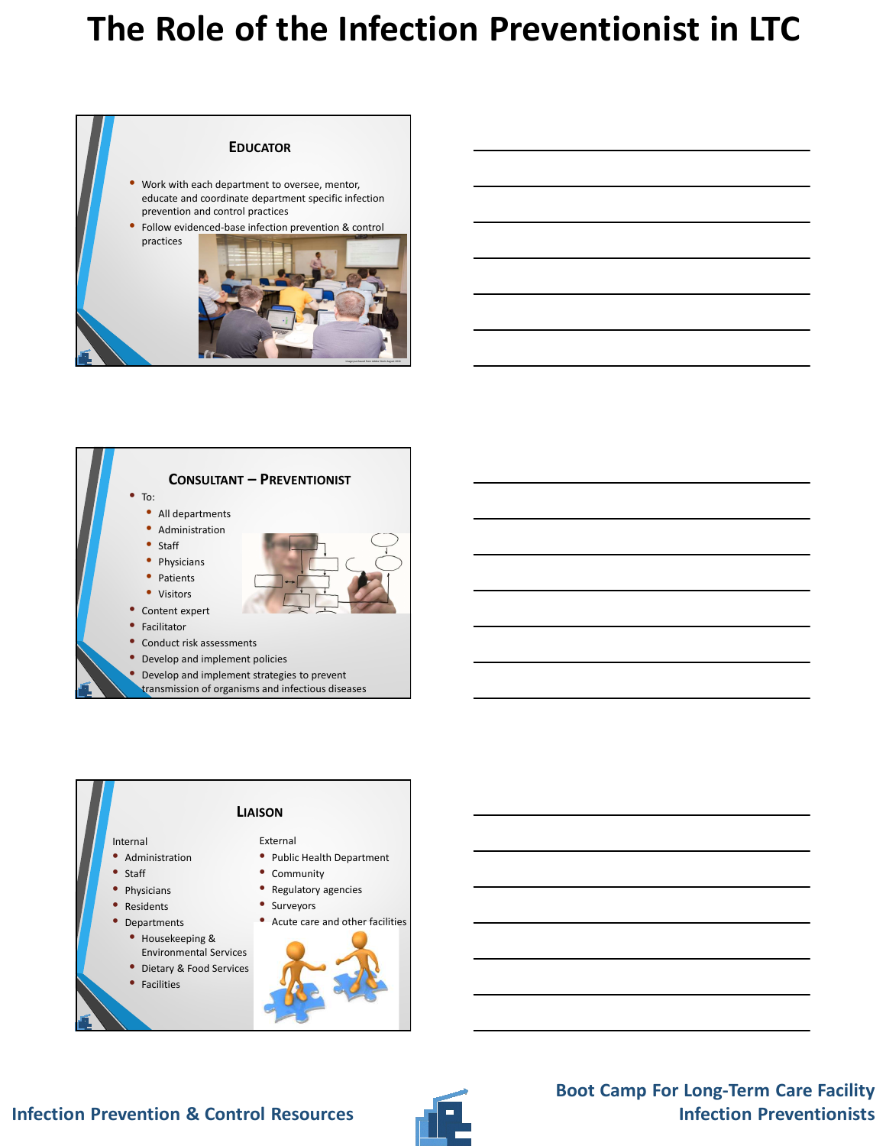